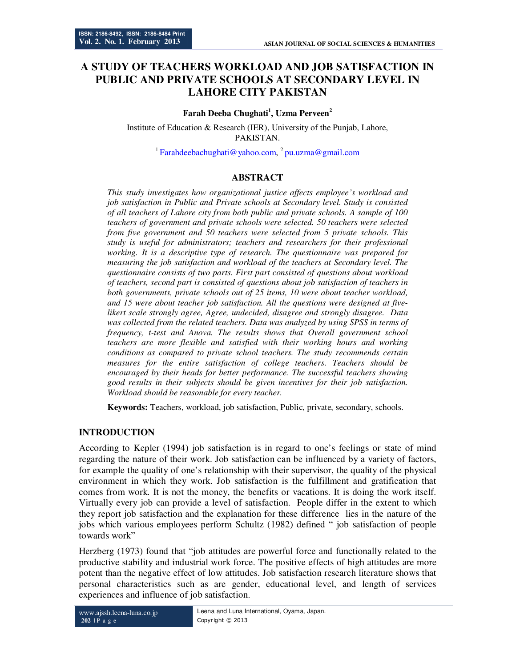# **A STUDY OF TEACHERS WORKLOAD AND JOB SATISFACTION IN PUBLIC AND PRIVATE SCHOOLS AT SECONDARY LEVEL IN LAHORE CITY PAKISTAN**

### **Farah Deeba Chughati<sup>1</sup> , Uzma Perveen<sup>2</sup>**

Institute of Education & Research (IER), University of the Punjab, Lahore, PAKISTAN.

<sup>1</sup> Farahdeebachughati@yahoo.com, <sup>2</sup> pu.uzma@gmail.com

## **ABSTRACT**

*This study investigates how organizational justice affects employee's workload and job satisfaction in Public and Private schools at Secondary level. Study is consisted of all teachers of Lahore city from both public and private schools. A sample of 100 teachers of government and private schools were selected. 50 teachers were selected from five government and 50 teachers were selected from 5 private schools. This study is useful for administrators; teachers and researchers for their professional working. It is a descriptive type of research. The questionnaire was prepared for measuring the job satisfaction and workload of the teachers at Secondary level. The questionnaire consists of two parts. First part consisted of questions about workload of teachers, second part is consisted of questions about job satisfaction of teachers in both governments, private schools out of 25 items, 10 were about teacher workload, and 15 were about teacher job satisfaction. All the questions were designed at fivelikert scale strongly agree, Agree, undecided, disagree and strongly disagree. Data was collected from the related teachers. Data was analyzed by using SPSS in terms of frequency, t-test and Anova. The results shows that Overall government school teachers are more flexible and satisfied with their working hours and working conditions as compared to private school teachers. The study recommends certain measures for the entire satisfaction of college teachers. Teachers should be encouraged by their heads for better performance. The successful teachers showing good results in their subjects should be given incentives for their job satisfaction. Workload should be reasonable for every teacher.* 

**Keywords:** Teachers, workload, job satisfaction, Public, private, secondary, schools.

## **INTRODUCTION**

According to Kepler (1994) job satisfaction is in regard to one's feelings or state of mind regarding the nature of their work. Job satisfaction can be influenced by a variety of factors, for example the quality of one's relationship with their supervisor, the quality of the physical environment in which they work. Job satisfaction is the fulfillment and gratification that comes from work. It is not the money, the benefits or vacations. It is doing the work itself. Virtually every job can provide a level of satisfaction. People differ in the extent to which they report job satisfaction and the explanation for these difference lies in the nature of the jobs which various employees perform Schultz (1982) defined " job satisfaction of people towards work"

Herzberg (1973) found that "job attitudes are powerful force and functionally related to the productive stability and industrial work force. The positive effects of high attitudes are more potent than the negative effect of low attitudes. Job satisfaction research literature shows that personal characteristics such as are gender, educational level, and length of services experiences and influence of job satisfaction.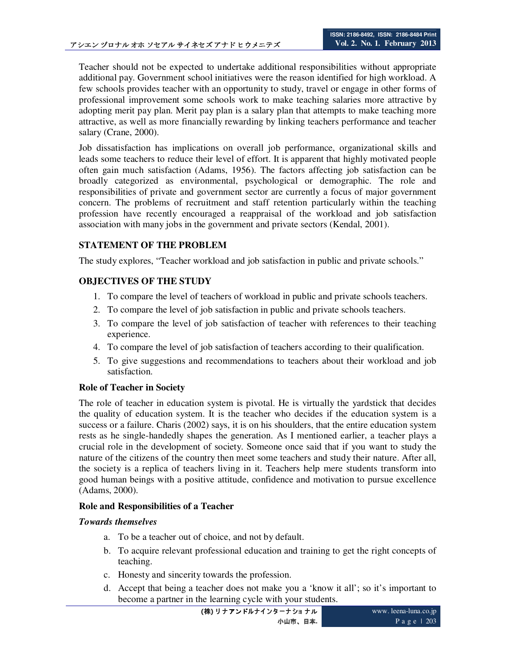Teacher should not be expected to undertake additional responsibilities without appropriate additional pay. Government school initiatives were the reason identified for high workload. A few schools provides teacher with an opportunity to study, travel or engage in other forms of professional improvement some schools work to make teaching salaries more attractive by adopting merit pay plan. Merit pay plan is a salary plan that attempts to make teaching more attractive, as well as more financially rewarding by linking teachers performance and teacher salary (Crane, 2000).

Job dissatisfaction has implications on overall job performance, organizational skills and leads some teachers to reduce their level of effort. It is apparent that highly motivated people often gain much satisfaction (Adams, 1956). The factors affecting job satisfaction can be broadly categorized as environmental, psychological or demographic. The role and responsibilities of private and government sector are currently a focus of major government concern. The problems of recruitment and staff retention particularly within the teaching profession have recently encouraged a reappraisal of the workload and job satisfaction association with many jobs in the government and private sectors (Kendal, 2001).

## **STATEMENT OF THE PROBLEM**

The study explores, "Teacher workload and job satisfaction in public and private schools."

## **OBJECTIVES OF THE STUDY**

- 1. To compare the level of teachers of workload in public and private schools teachers.
- 2. To compare the level of job satisfaction in public and private schools teachers.
- 3. To compare the level of job satisfaction of teacher with references to their teaching experience.
- 4. To compare the level of job satisfaction of teachers according to their qualification.
- 5. To give suggestions and recommendations to teachers about their workload and job satisfaction.

### **Role of Teacher in Society**

The role of teacher in education system is pivotal. He is virtually the yardstick that decides the quality of education system. It is the teacher who decides if the education system is a success or a failure. Charis (2002) says, it is on his shoulders, that the entire education system rests as he single-handedly shapes the generation. As I mentioned earlier, a teacher plays a crucial role in the development of society. Someone once said that if you want to study the nature of the citizens of the country then meet some teachers and study their nature. After all, the society is a replica of teachers living in it. Teachers help mere students transform into good human beings with a positive attitude, confidence and motivation to pursue excellence (Adams, 2000).

### **Role and Responsibilities of a Teacher**

#### *Towards themselves*

- a. To be a teacher out of choice, and not by default.
- b. To acquire relevant professional education and training to get the right concepts of teaching.
- c. Honesty and sincerity towards the profession.
- d. Accept that being a teacher does not make you a 'know it all'; so it's important to become a partner in the learning cycle with your students.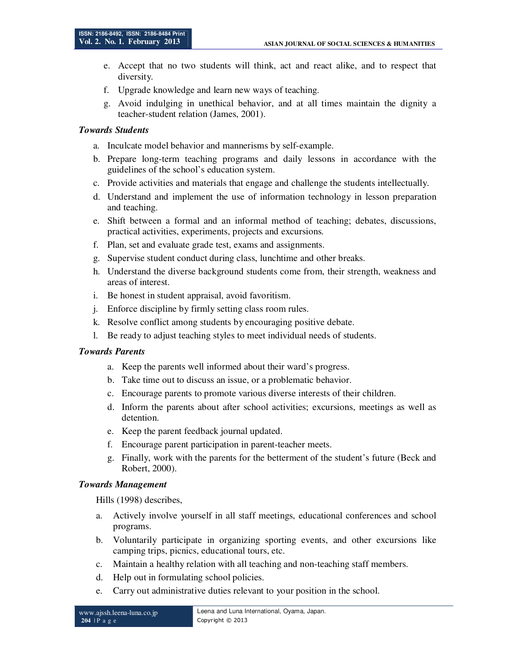- e. Accept that no two students will think, act and react alike, and to respect that diversity.
- f. Upgrade knowledge and learn new ways of teaching.
- g. Avoid indulging in unethical behavior, and at all times maintain the dignity a teacher-student relation (James, 2001).

## *Towards Students*

- a. Inculcate model behavior and mannerisms by self-example.
- b. Prepare long-term teaching programs and daily lessons in accordance with the guidelines of the school's education system.
- c. Provide activities and materials that engage and challenge the students intellectually.
- d. Understand and implement the use of information technology in lesson preparation and teaching.
- e. Shift between a formal and an informal method of teaching; debates, discussions, practical activities, experiments, projects and excursions.
- f. Plan, set and evaluate grade test, exams and assignments.
- g. Supervise student conduct during class, lunchtime and other breaks.
- h. Understand the diverse background students come from, their strength, weakness and areas of interest.
- i. Be honest in student appraisal, avoid favoritism.
- j. Enforce discipline by firmly setting class room rules.
- k. Resolve conflict among students by encouraging positive debate.
- l. Be ready to adjust teaching styles to meet individual needs of students.

### *Towards Parents*

- a. Keep the parents well informed about their ward's progress.
- b. Take time out to discuss an issue, or a problematic behavior.
- c. Encourage parents to promote various diverse interests of their children.
- d. Inform the parents about after school activities; excursions, meetings as well as detention.
- e. Keep the parent feedback journal updated.
- f. Encourage parent participation in parent-teacher meets.
- g. Finally, work with the parents for the betterment of the student's future (Beck and Robert, 2000).

### *Towards Management*

Hills (1998) describes,

- a. Actively involve yourself in all staff meetings, educational conferences and school programs.
- b. Voluntarily participate in organizing sporting events, and other excursions like camping trips, picnics, educational tours, etc.
- c. Maintain a healthy relation with all teaching and non-teaching staff members.
- d. Help out in formulating school policies.
- e. Carry out administrative duties relevant to your position in the school.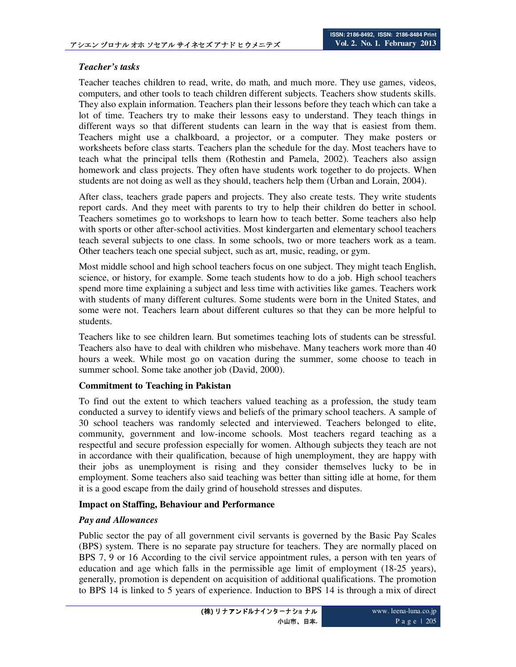## *Teacher's tasks*

Teacher teaches children to read, write, do math, and much more. They use games, videos, computers, and other tools to teach children different subjects. Teachers show students skills. They also explain information. Teachers plan their lessons before they teach which can take a lot of time. Teachers try to make their lessons easy to understand. They teach things in different ways so that different students can learn in the way that is easiest from them. Teachers might use a chalkboard, a projector, or a computer. They make posters or worksheets before class starts. Teachers plan the schedule for the day. Most teachers have to teach what the principal tells them (Rothestin and Pamela, 2002). Teachers also assign homework and class projects. They often have students work together to do projects. When students are not doing as well as they should, teachers help them (Urban and Lorain, 2004).

After class, teachers grade papers and projects. They also create tests. They write students report cards. And they meet with parents to try to help their children do better in school. Teachers sometimes go to workshops to learn how to teach better. Some teachers also help with sports or other after-school activities. Most kindergarten and elementary school teachers teach several subjects to one class. In some schools, two or more teachers work as a team. Other teachers teach one special subject, such as art, music, reading, or gym.

Most middle school and high school teachers focus on one subject. They might teach English, science, or history, for example. Some teach students how to do a job. High school teachers spend more time explaining a subject and less time with activities like games. Teachers work with students of many different cultures. Some students were born in the United States, and some were not. Teachers learn about different cultures so that they can be more helpful to students.

Teachers like to see children learn. But sometimes teaching lots of students can be stressful. Teachers also have to deal with children who misbehave. Many teachers work more than 40 hours a week. While most go on vacation during the summer, some choose to teach in summer school. Some take another job (David, 2000).

### **Commitment to Teaching in Pakistan**

To find out the extent to which teachers valued teaching as a profession, the study team conducted a survey to identify views and beliefs of the primary school teachers. A sample of 30 school teachers was randomly selected and interviewed. Teachers belonged to elite, community, government and low-income schools. Most teachers regard teaching as a respectful and secure profession especially for women. Although subjects they teach are not in accordance with their qualification, because of high unemployment, they are happy with their jobs as unemployment is rising and they consider themselves lucky to be in employment. Some teachers also said teaching was better than sitting idle at home, for them it is a good escape from the daily grind of household stresses and disputes.

## **Impact on Staffing, Behaviour and Performance**

## *Pay and Allowances*

Public sector the pay of all government civil servants is governed by the Basic Pay Scales (BPS) system. There is no separate pay structure for teachers. They are normally placed on BPS 7, 9 or 16 According to the civil service appointment rules, a person with ten years of education and age which falls in the permissible age limit of employment (18-25 years), generally, promotion is dependent on acquisition of additional qualifications. The promotion to BPS 14 is linked to 5 years of experience. Induction to BPS 14 is through a mix of direct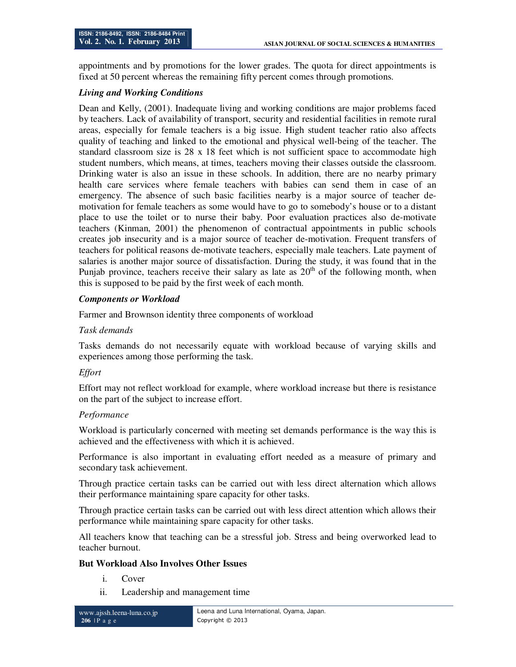appointments and by promotions for the lower grades. The quota for direct appointments is fixed at 50 percent whereas the remaining fifty percent comes through promotions.

## *Living and Working Conditions*

Dean and Kelly, (2001). Inadequate living and working conditions are major problems faced by teachers. Lack of availability of transport, security and residential facilities in remote rural areas, especially for female teachers is a big issue. High student teacher ratio also affects quality of teaching and linked to the emotional and physical well-being of the teacher. The standard classroom size is  $28 \times 18$  feet which is not sufficient space to accommodate high student numbers, which means, at times, teachers moving their classes outside the classroom. Drinking water is also an issue in these schools. In addition, there are no nearby primary health care services where female teachers with babies can send them in case of an emergency. The absence of such basic facilities nearby is a major source of teacher demotivation for female teachers as some would have to go to somebody's house or to a distant place to use the toilet or to nurse their baby. Poor evaluation practices also de-motivate teachers (Kinman, 2001) the phenomenon of contractual appointments in public schools creates job insecurity and is a major source of teacher de-motivation. Frequent transfers of teachers for political reasons de-motivate teachers, especially male teachers. Late payment of salaries is another major source of dissatisfaction. During the study, it was found that in the Punjab province, teachers receive their salary as late as  $20<sup>th</sup>$  of the following month, when this is supposed to be paid by the first week of each month.

## *Components or Workload*

Farmer and Brownson identity three components of workload

### *Task demands*

Tasks demands do not necessarily equate with workload because of varying skills and experiences among those performing the task.

## *Effort*

Effort may not reflect workload for example, where workload increase but there is resistance on the part of the subject to increase effort.

### *Performance*

Workload is particularly concerned with meeting set demands performance is the way this is achieved and the effectiveness with which it is achieved.

Performance is also important in evaluating effort needed as a measure of primary and secondary task achievement.

Through practice certain tasks can be carried out with less direct alternation which allows their performance maintaining spare capacity for other tasks.

Through practice certain tasks can be carried out with less direct attention which allows their performance while maintaining spare capacity for other tasks.

All teachers know that teaching can be a stressful job. Stress and being overworked lead to teacher burnout.

### **But Workload Also Involves Other Issues**

- i. Cover
- ii. Leadership and management time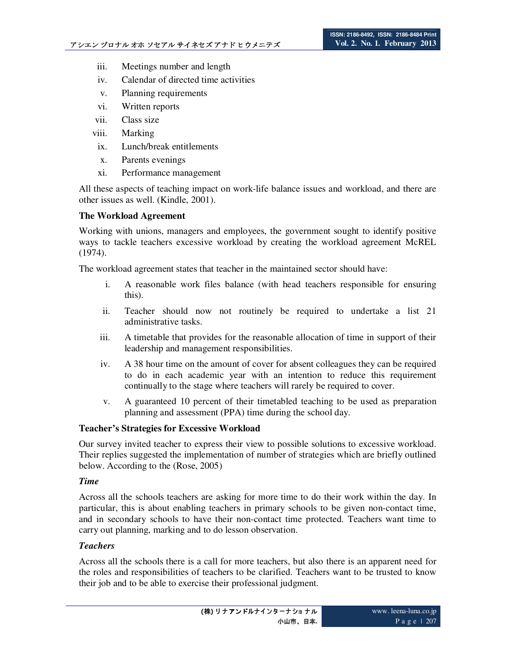- iii. Meetings number and length
- iv. Calendar of directed time activities
- v. Planning requirements
- vi. Written reports
- vii. Class size
- viii. Marking
- ix. Lunch/break entitlements
- x. Parents evenings
- xi. Performance management

All these aspects of teaching impact on work-life balance issues and workload, and there are other issues as well. (Kindle, 2001).

### **The Workload Agreement**

Working with unions, managers and employees, the government sought to identify positive ways to tackle teachers excessive workload by creating the workload agreement McREL (1974).

The workload agreement states that teacher in the maintained sector should have:

- i. A reasonable work files balance (with head teachers responsible for ensuring this).
- ii. Teacher should now not routinely be required to undertake a list 21 administrative tasks.
- iii. A timetable that provides for the reasonable allocation of time in support of their leadership and management responsibilities.
- iv. A 38 hour time on the amount of cover for absent colleagues they can be required to do in each academic year with an intention to reduce this requirement continually to the stage where teachers will rarely be required to cover.
- v. A guaranteed 10 percent of their timetabled teaching to be used as preparation planning and assessment (PPA) time during the school day.

### **Teacher's Strategies for Excessive Workload**

Our survey invited teacher to express their view to possible solutions to excessive workload. Their replies suggested the implementation of number of strategies which are briefly outlined below. According to the (Rose, 2005)

#### *Time*

Across all the schools teachers are asking for more time to do their work within the day. In particular, this is about enabling teachers in primary schools to be given non-contact time, and in secondary schools to have their non-contact time protected. Teachers want time to carry out planning, marking and to do lesson observation.

#### *Teachers*

Across all the schools there is a call for more teachers, but also there is an apparent need for the roles and responsibilities of teachers to be clarified. Teachers want to be trusted to know their job and to be able to exercise their professional judgment.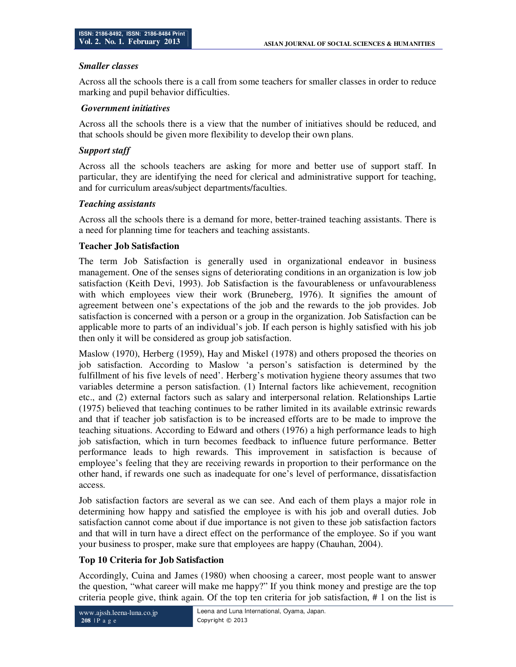### *Smaller classes*

Across all the schools there is a call from some teachers for smaller classes in order to reduce marking and pupil behavior difficulties.

### *Government initiatives*

Across all the schools there is a view that the number of initiatives should be reduced, and that schools should be given more flexibility to develop their own plans.

## *Support staff*

Across all the schools teachers are asking for more and better use of support staff. In particular, they are identifying the need for clerical and administrative support for teaching, and for curriculum areas/subject departments/faculties.

## *Teaching assistants*

Across all the schools there is a demand for more, better-trained teaching assistants. There is a need for planning time for teachers and teaching assistants.

### **Teacher Job Satisfaction**

The term Job Satisfaction is generally used in organizational endeavor in business management. One of the senses signs of deteriorating conditions in an organization is low job satisfaction (Keith Devi, 1993). Job Satisfaction is the favourableness or unfavourableness with which employees view their work (Bruneberg, 1976). It signifies the amount of agreement between one's expectations of the job and the rewards to the job provides. Job satisfaction is concerned with a person or a group in the organization. Job Satisfaction can be applicable more to parts of an individual's job. If each person is highly satisfied with his job then only it will be considered as group job satisfaction.

Maslow (1970), Herberg (1959), Hay and Miskel (1978) and others proposed the theories on job satisfaction. According to Maslow 'a person's satisfaction is determined by the fulfillment of his five levels of need'. Herberg's motivation hygiene theory assumes that two variables determine a person satisfaction. (1) Internal factors like achievement, recognition etc., and (2) external factors such as salary and interpersonal relation. Relationships Lartie (1975) believed that teaching continues to be rather limited in its available extrinsic rewards and that if teacher job satisfaction is to be increased efforts are to be made to improve the teaching situations. According to Edward and others (1976) a high performance leads to high job satisfaction, which in turn becomes feedback to influence future performance. Better performance leads to high rewards. This improvement in satisfaction is because of employee's feeling that they are receiving rewards in proportion to their performance on the other hand, if rewards one such as inadequate for one's level of performance, dissatisfaction access.

Job satisfaction factors are several as we can see. And each of them plays a major role in determining how happy and satisfied the employee is with his job and overall duties. Job satisfaction cannot come about if due importance is not given to these job satisfaction factors and that will in turn have a direct effect on the performance of the employee. So if you want your business to prosper, make sure that employees are happy (Chauhan, 2004).

## **Top 10 Criteria for Job Satisfaction**

Accordingly, Cuina and James (1980) when choosing a career, most people want to answer the question, "what career will make me happy?" If you think money and prestige are the top criteria people give, think again. Of the top ten criteria for job satisfaction, # 1 on the list is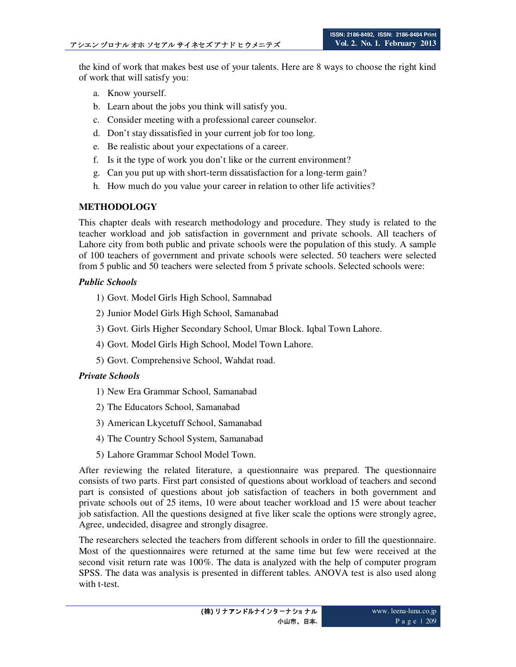the kind of work that makes best use of your talents. Here are 8 ways to choose the right kind of work that will satisfy you:

- a. Know yourself.
- b. Learn about the jobs you think will satisfy you.
- c. Consider meeting with a professional career counselor.
- d. Don't stay dissatisfied in your current job for too long.
- e. Be realistic about your expectations of a career.
- f. Is it the type of work you don't like or the current environment?
- g. Can you put up with short-term dissatisfaction for a long-term gain?
- h. How much do you value your career in relation to other life activities?

## **METHODOLOGY**

This chapter deals with research methodology and procedure. They study is related to the teacher workload and job satisfaction in government and private schools. All teachers of Lahore city from both public and private schools were the population of this study. A sample of 100 teachers of government and private schools were selected. 50 teachers were selected from 5 public and 50 teachers were selected from 5 private schools. Selected schools were:

## *Public Schools*

- 1) Govt. Model Girls High School, Samnabad
- 2) Junior Model Girls High School, Samanabad
- 3) Govt. Girls Higher Secondary School, Umar Block. Iqbal Town Lahore.
- 4) Govt. Model Girls High School, Model Town Lahore.
- 5) Govt. Comprehensive School, Wahdat road.

### *Private Schools*

- 1) New Era Grammar School, Samanabad
- 2) The Educators School, Samanabad
- 3) American Lkycetuff School, Samanabad
- 4) The Country School System, Samanabad
- 5) Lahore Grammar School Model Town.

After reviewing the related literature, a questionnaire was prepared. The questionnaire consists of two parts. First part consisted of questions about workload of teachers and second part is consisted of questions about job satisfaction of teachers in both government and private schools out of 25 items, 10 were about teacher workload and 15 were about teacher job satisfaction. All the questions designed at five liker scale the options were strongly agree, Agree, undecided, disagree and strongly disagree.

The researchers selected the teachers from different schools in order to fill the questionnaire. Most of the questionnaires were returned at the same time but few were received at the second visit return rate was 100%. The data is analyzed with the help of computer program SPSS. The data was analysis is presented in different tables. ANOVA test is also used along with t-test.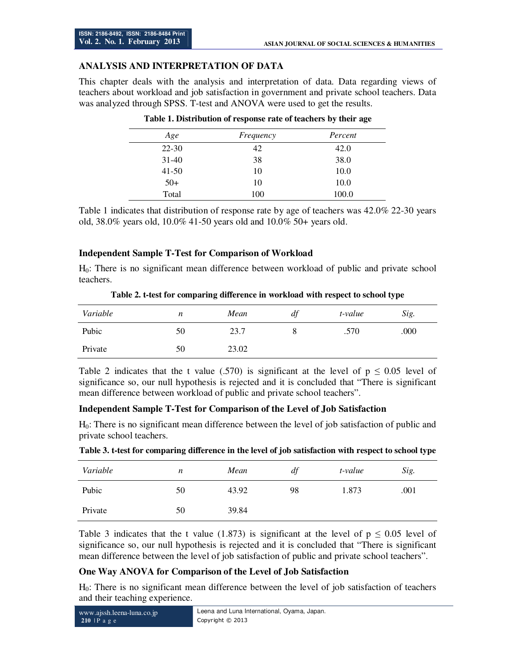## **ANALYSIS AND INTERPRETATION OF DATA**

This chapter deals with the analysis and interpretation of data. Data regarding views of teachers about workload and job satisfaction in government and private school teachers. Data was analyzed through SPSS. T-test and ANOVA were used to get the results.

| Age       | Frequency | Percent |
|-----------|-----------|---------|
| $22 - 30$ | 42        | 42.0    |
| $31-40$   | 38        | 38.0    |
| $41 - 50$ | 10        | 10.0    |
| $50+$     | 10        | 10.0    |
| Total     | 100       | 100.0   |

#### **Table 1. Distribution of response rate of teachers by their age**

Table 1 indicates that distribution of response rate by age of teachers was 42.0% 22-30 years old, 38.0% years old, 10.0% 41-50 years old and 10.0% 50+ years old.

## **Independent Sample T-Test for Comparison of Workload**

H0: There is no significant mean difference between workload of public and private school teachers.

|          |    | $\sim$ |    |         | . .  |
|----------|----|--------|----|---------|------|
| Variable | n  | Mean   | df | t-value | Sig. |
| Pubic    | 50 | 23.7   |    | .570    | .000 |
| Private  | 50 | 23.02  |    |         |      |

**Table 2. t-test for comparing difference in workload with respect to school type** 

Table 2 indicates that the t value (.570) is significant at the level of  $p \le 0.05$  level of significance so, our null hypothesis is rejected and it is concluded that "There is significant mean difference between workload of public and private school teachers".

### **Independent Sample T-Test for Comparison of the Level of Job Satisfaction**

H0: There is no significant mean difference between the level of job satisfaction of public and private school teachers.

| Variable | n  | Mean  | df | t-value | Sig. |
|----------|----|-------|----|---------|------|
| Pubic    | 50 | 43.92 | 98 | 1.873   | .001 |
| Private  | 50 | 39.84 |    |         |      |

|  |  | Table 3. t-test for comparing difference in the level of job satisfaction with respect to school type |  |
|--|--|-------------------------------------------------------------------------------------------------------|--|
|  |  |                                                                                                       |  |

Table 3 indicates that the t value (1.873) is significant at the level of  $p \le 0.05$  level of significance so, our null hypothesis is rejected and it is concluded that "There is significant mean difference between the level of job satisfaction of public and private school teachers".

### **One Way ANOVA for Comparison of the Level of Job Satisfaction**

H0: There is no significant mean difference between the level of job satisfaction of teachers and their teaching experience.

| www.ajssh.leena-luna.co.jp | Leena and Luna International, Oyama, Japan. |
|----------------------------|---------------------------------------------|
| $210$  P a g e             | Copyright © 2013                            |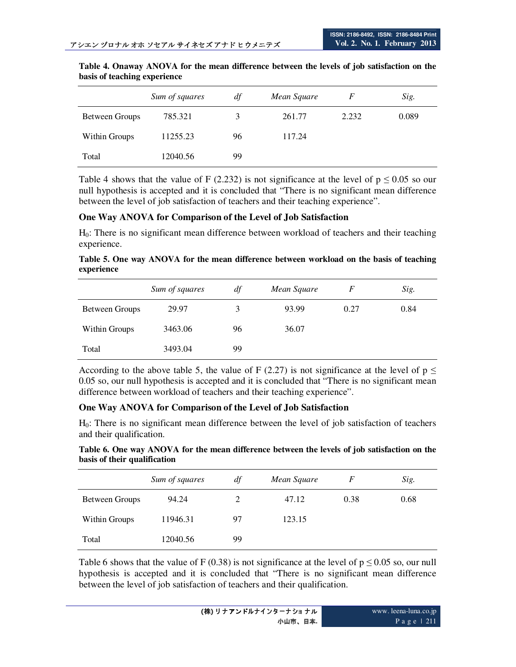|                | Sum of squares | df | Mean Square | F     | Sig.  |
|----------------|----------------|----|-------------|-------|-------|
| Between Groups | 785.321        | 3  | 261.77      | 2.232 | 0.089 |
| Within Groups  | 11255.23       | 96 | 117.24      |       |       |
| Total          | 12040.56       | 99 |             |       |       |

| Table 4. Onaway ANOVA for the mean difference between the levels of job satisfaction on the |  |  |  |  |  |
|---------------------------------------------------------------------------------------------|--|--|--|--|--|
| basis of teaching experience                                                                |  |  |  |  |  |

Table 4 shows that the value of F (2.232) is not significance at the level of  $p \le 0.05$  so our null hypothesis is accepted and it is concluded that "There is no significant mean difference between the level of job satisfaction of teachers and their teaching experience".

#### **One Way ANOVA for Comparison of the Level of Job Satisfaction**

H0: There is no significant mean difference between workload of teachers and their teaching experience.

**Table 5. One way ANOVA for the mean difference between workload on the basis of teaching experience**

|                | Sum of squares | df | Mean Square | F    | Sig. |
|----------------|----------------|----|-------------|------|------|
| Between Groups | 29.97          | 3  | 93.99       | 0.27 | 0.84 |
| Within Groups  | 3463.06        | 96 | 36.07       |      |      |
| Total          | 3493.04        | 99 |             |      |      |

According to the above table 5, the value of F (2.27) is not significance at the level of  $p \leq$ 0.05 so, our null hypothesis is accepted and it is concluded that "There is no significant mean difference between workload of teachers and their teaching experience".

### **One Way ANOVA for Comparison of the Level of Job Satisfaction**

H0: There is no significant mean difference between the level of job satisfaction of teachers and their qualification.

**Table 6. One way ANOVA for the mean difference between the levels of job satisfaction on the basis of their qualification** 

|                | Sum of squares | df | Mean Square | F    | Sig. |
|----------------|----------------|----|-------------|------|------|
| Between Groups | 94.24          | 2  | 47.12       | 0.38 | 0.68 |
| Within Groups  | 11946.31       | 97 | 123.15      |      |      |
| Total          | 12040.56       | 99 |             |      |      |

Table 6 shows that the value of F (0.38) is not significance at the level of  $p \le 0.05$  so, our null hypothesis is accepted and it is concluded that "There is no significant mean difference between the level of job satisfaction of teachers and their qualification.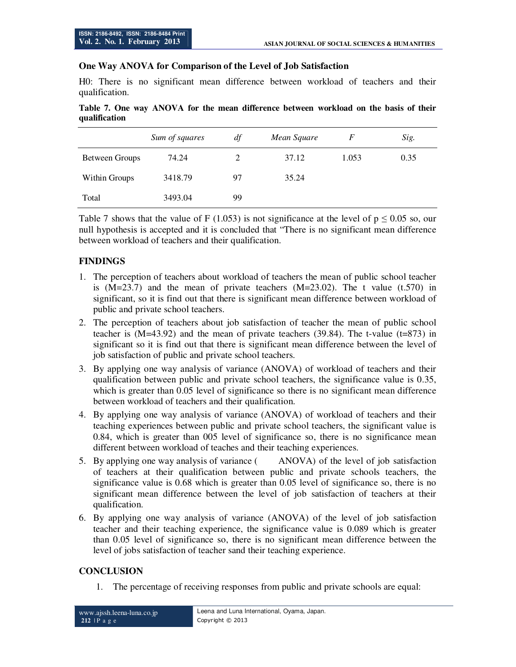### **One Way ANOVA for Comparison of the Level of Job Satisfaction**

H0: There is no significant mean difference between workload of teachers and their qualification.

| Table 7. One way ANOVA for the mean difference between workload on the basis of their |  |  |  |  |  |
|---------------------------------------------------------------------------------------|--|--|--|--|--|
| qualification                                                                         |  |  |  |  |  |

|                | Sum of squares | df | Mean Square | F     | Sig. |
|----------------|----------------|----|-------------|-------|------|
| Between Groups | 74.24          | 2  | 37.12       | 1.053 | 0.35 |
| Within Groups  | 3418.79        | 97 | 35.24       |       |      |
| Total          | 3493.04        | 99 |             |       |      |

Table 7 shows that the value of F (1.053) is not significance at the level of  $p \le 0.05$  so, our null hypothesis is accepted and it is concluded that "There is no significant mean difference between workload of teachers and their qualification.

## **FINDINGS**

- 1. The perception of teachers about workload of teachers the mean of public school teacher is  $(M=23.7)$  and the mean of private teachers  $(M=23.02)$ . The t value  $(1.570)$  in significant, so it is find out that there is significant mean difference between workload of public and private school teachers.
- 2. The perception of teachers about job satisfaction of teacher the mean of public school teacher is (M=43.92) and the mean of private teachers (39.84). The t-value (t=873) in significant so it is find out that there is significant mean difference between the level of job satisfaction of public and private school teachers.
- 3. By applying one way analysis of variance (ANOVA) of workload of teachers and their qualification between public and private school teachers, the significance value is 0.35, which is greater than 0.05 level of significance so there is no significant mean difference between workload of teachers and their qualification.
- 4. By applying one way analysis of variance (ANOVA) of workload of teachers and their teaching experiences between public and private school teachers, the significant value is 0.84, which is greater than 005 level of significance so, there is no significance mean different between workload of teaches and their teaching experiences.
- 5. By applying one way analysis of variance ( ANOVA) of the level of job satisfaction of teachers at their qualification between public and private schools teachers, the significance value is 0.68 which is greater than 0.05 level of significance so, there is no significant mean difference between the level of job satisfaction of teachers at their qualification.
- 6. By applying one way analysis of variance (ANOVA) of the level of job satisfaction teacher and their teaching experience, the significance value is 0.089 which is greater than 0.05 level of significance so, there is no significant mean difference between the level of jobs satisfaction of teacher sand their teaching experience.

## **CONCLUSION**

1. The percentage of receiving responses from public and private schools are equal: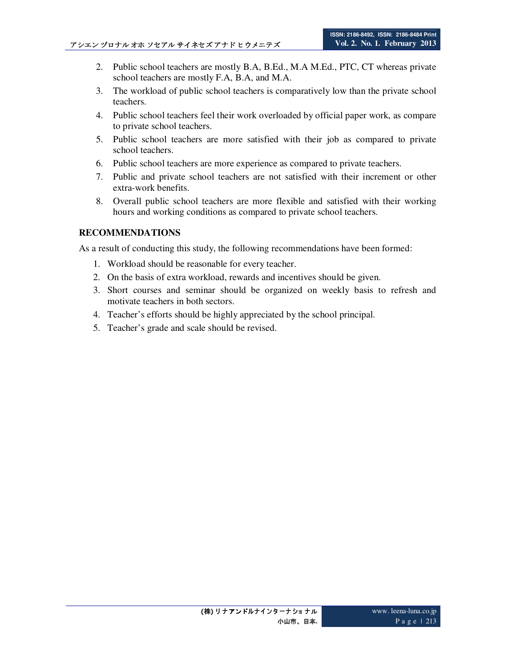- 2. Public school teachers are mostly B.A, B.Ed., M.A M.Ed., PTC, CT whereas private school teachers are mostly F.A, B.A, and M.A.
- 3. The workload of public school teachers is comparatively low than the private school teachers.
- 4. Public school teachers feel their work overloaded by official paper work, as compare to private school teachers.
- 5. Public school teachers are more satisfied with their job as compared to private school teachers.
- 6. Public school teachers are more experience as compared to private teachers.
- 7. Public and private school teachers are not satisfied with their increment or other extra-work benefits.
- 8. Overall public school teachers are more flexible and satisfied with their working hours and working conditions as compared to private school teachers.

## **RECOMMENDATIONS**

As a result of conducting this study, the following recommendations have been formed:

- 1. Workload should be reasonable for every teacher.
- 2. On the basis of extra workload, rewards and incentives should be given.
- 3. Short courses and seminar should be organized on weekly basis to refresh and motivate teachers in both sectors.
- 4. Teacher's efforts should be highly appreciated by the school principal.
- 5. Teacher's grade and scale should be revised.